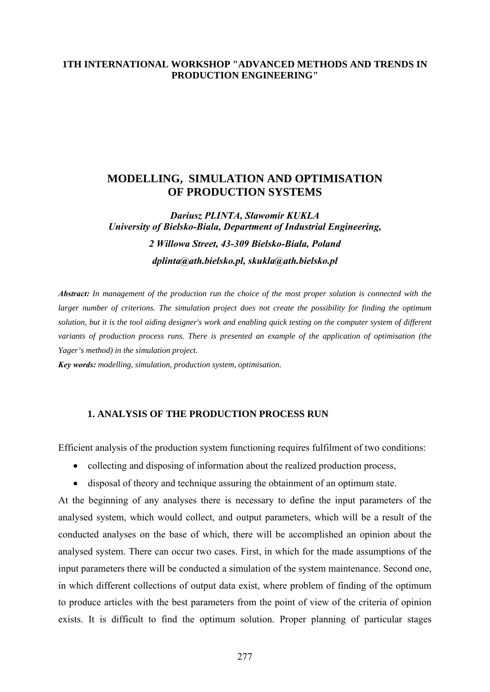### **1TH INTERNATIONAL WORKSHOP "ADVANCED METHODS AND TRENDS IN PRODUCTION ENGINEERING"**

## **MODELLING, SIMULATION AND OPTIMISATION OF PRODUCTION SYSTEMS**

*Dariusz PLINTA, Sławomir KUKLA University of Bielsko-Biala, Department of Industrial Engineering, 2 Willowa Street, 43-309 Bielsko-Biała, Poland dplinta@ath.bielsko.pl, skukla@ath.bielsko.pl* 

*Abstract: In management of the production run the choice of the most proper solution is connected with the larger number of criterions. The simulation project does not create the possibility for finding the optimum solution, but it is the tool aiding designer's work and enabling quick testing on the computer system of different variants of production process runs. There is presented an example of the application of optimisation (the Yager's method) in the simulation project.* 

*Key words: modelling, simulation, production system, optimisation.*

### **1. ANALYSIS OF THE PRODUCTION PROCESS RUN**

Efficient analysis of the production system functioning requires fulfilment of two conditions:

- collecting and disposing of information about the realized production process,
- disposal of theory and technique assuring the obtainment of an optimum state.

At the beginning of any analyses there is necessary to define the input parameters of the analysed system, which would collect, and output parameters, which will be a result of the conducted analyses on the base of which, there will be accomplished an opinion about the analysed system. There can occur two cases. First, in which for the made assumptions of the input parameters there will be conducted a simulation of the system maintenance. Second one, in which different collections of output data exist, where problem of finding of the optimum to produce articles with the best parameters from the point of view of the criteria of opinion exists. It is difficult to find the optimum solution. Proper planning of particular stages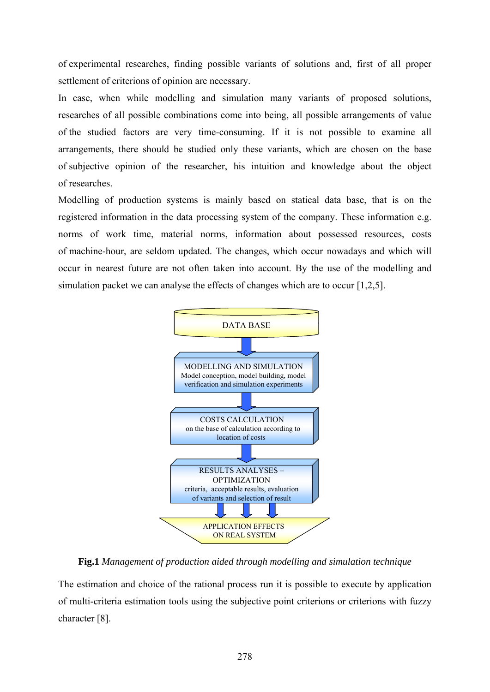of experimental researches, finding possible variants of solutions and, first of all proper settlement of criterions of opinion are necessary.

In case, when while modelling and simulation many variants of proposed solutions, researches of all possible combinations come into being, all possible arrangements of value of the studied factors are very time-consuming. If it is not possible to examine all arrangements, there should be studied only these variants, which are chosen on the base of subjective opinion of the researcher, his intuition and knowledge about the object of researches.

Modelling of production systems is mainly based on statical data base, that is on the registered information in the data processing system of the company. These information e.g. norms of work time, material norms, information about possessed resources, costs of machine-hour, are seldom updated. The changes, which occur nowadays and which will occur in nearest future are not often taken into account. By the use of the modelling and simulation packet we can analyse the effects of changes which are to occur [1,2,5].



**Fig.1** *Management of production aided through modelling and simulation technique* 

The estimation and choice of the rational process run it is possible to execute by application of multi-criteria estimation tools using the subjective point criterions or criterions with fuzzy character [8].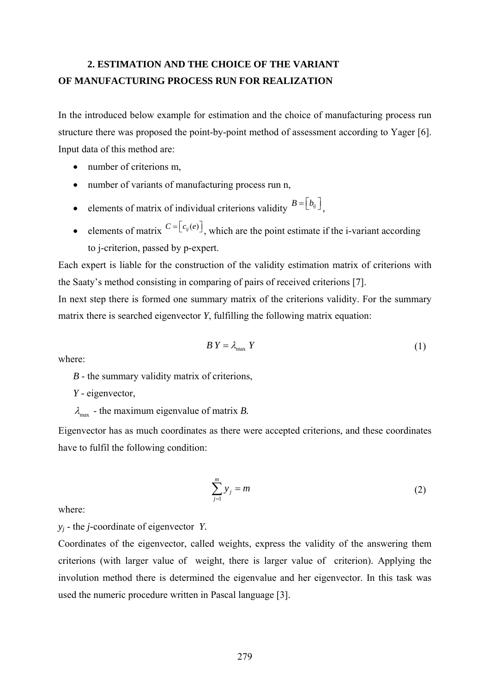## **2. ESTIMATION AND THE CHOICE OF THE VARIANT OF MANUFACTURING PROCESS RUN FOR REALIZATION**

In the introduced below example for estimation and the choice of manufacturing process run structure there was proposed the point-by-point method of assessment according to Yager [6]. Input data of this method are:

- number of criterions m,
- number of variants of manufacturing process run n,
- elements of matrix of individual criterions validity  $B = [b_{ij}]$
- elements of matrix  $C = \lfloor c_{ij}(e) \rfloor$ , which are the point estimate if the i-variant according to j-criterion, passed by p-expert.

Each expert is liable for the construction of the validity estimation matrix of criterions with the Saaty's method consisting in comparing of pairs of received criterions [7].

In next step there is formed one summary matrix of the criterions validity. For the summary matrix there is searched eigenvector *Y*, fulfilling the following matrix equation:

$$
BY = \lambda_{\text{max}} Y \tag{1}
$$

where:

*B* - the summary validity matrix of criterions,

- *Y*  eigenvector,
- $\lambda_{\text{max}}$  the maximum eigenvalue of matrix *B*.

Eigenvector has as much coordinates as there were accepted criterions, and these coordinates have to fulfil the following condition:

$$
\sum_{j=1}^{m} y_j = m \tag{2}
$$

where:

*yj* - the *j-*coordinate of eigenvector *Y.* 

Coordinates of the eigenvector, called weights, express the validity of the answering them criterions (with larger value of weight, there is larger value of criterion). Applying the involution method there is determined the eigenvalue and her eigenvector. In this task was used the numeric procedure written in Pascal language [3].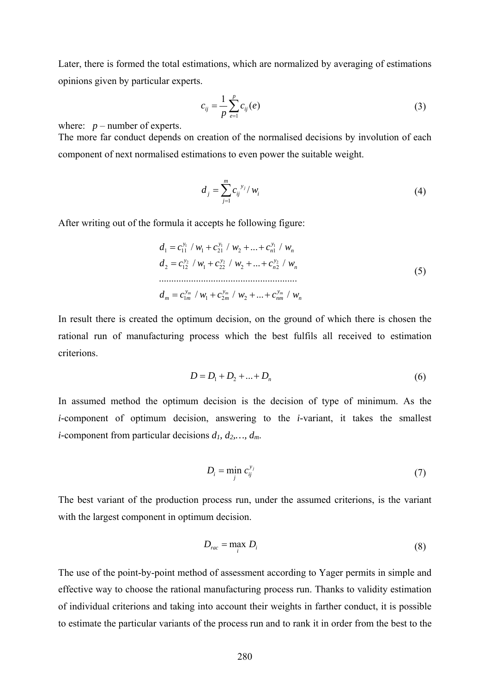Later, there is formed the total estimations, which are normalized by averaging of estimations opinions given by particular experts.

$$
c_{ij} = \frac{1}{p} \sum_{e=1}^{p} c_{ij}(e)
$$
 (3)

where:  $p$  – number of experts.

The more far conduct depends on creation of the normalised decisions by involution of each component of next normalised estimations to even power the suitable weight.

$$
d_j = \sum_{j=1}^{m} c_{ij}^{y_j} / w_i
$$
 (4)

After writing out of the formula it accepts he following figure:

$$
d_1 = c_{11}^{y_1} / w_1 + c_{21}^{y_1} / w_2 + \dots + c_{n1}^{y_1} / w_n
$$
  
\n
$$
d_2 = c_{12}^{y_2} / w_1 + c_{22}^{y_2} / w_2 + \dots + c_{n2}^{y_2} / w_n
$$
  
\n
$$
d_m = c_{1m}^{y_m} / w_1 + c_{2m}^{y_m} / w_2 + \dots + c_{nm}^{y_m} / w_n
$$
  
\n(5)

In result there is created the optimum decision, on the ground of which there is chosen the rational run of manufacturing process which the best fulfils all received to estimation criterions.

$$
D = D_1 + D_2 + \dots + D_n \tag{6}
$$

In assumed method the optimum decision is the decision of type of minimum. As the *i-*component of optimum decision, answering to the *i-*variant, it takes the smallest *i*-component from particular decisions  $d_1, d_2, ..., d_m$ .

$$
D_i = \min_j c_{ij}^{y_j} \tag{7}
$$

The best variant of the production process run, under the assumed criterions, is the variant with the largest component in optimum decision.

$$
D_{rac} = \max_{i} D_{i}
$$
 (8)

The use of the point-by-point method of assessment according to Yager permits in simple and effective way to choose the rational manufacturing process run. Thanks to validity estimation of individual criterions and taking into account their weights in farther conduct, it is possible to estimate the particular variants of the process run and to rank it in order from the best to the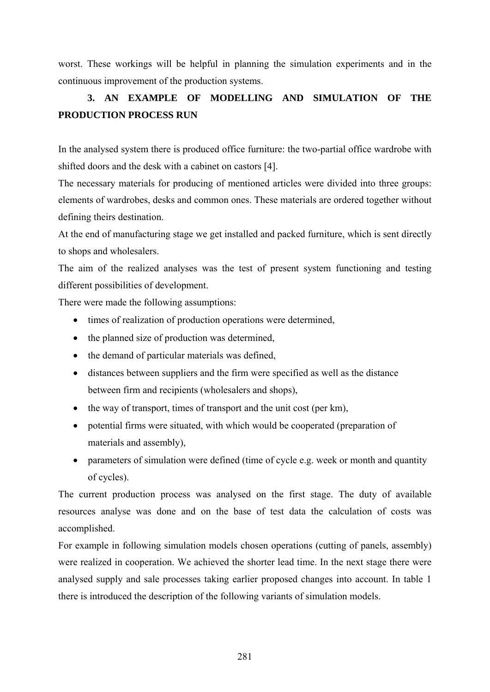worst. These workings will be helpful in planning the simulation experiments and in the continuous improvement of the production systems.

# **3. AN EXAMPLE OF MODELLING AND SIMULATION OF THE PRODUCTION PROCESS RUN**

In the analysed system there is produced office furniture: the two-partial office wardrobe with shifted doors and the desk with a cabinet on castors [4].

The necessary materials for producing of mentioned articles were divided into three groups: elements of wardrobes, desks and common ones. These materials are ordered together without defining theirs destination.

At the end of manufacturing stage we get installed and packed furniture, which is sent directly to shops and wholesalers.

The aim of the realized analyses was the test of present system functioning and testing different possibilities of development.

There were made the following assumptions:

- times of realization of production operations were determined,
- the planned size of production was determined,
- the demand of particular materials was defined,
- distances between suppliers and the firm were specified as well as the distance between firm and recipients (wholesalers and shops),
- the way of transport, times of transport and the unit cost (per km),
- potential firms were situated, with which would be cooperated (preparation of materials and assembly),
- parameters of simulation were defined (time of cycle e.g. week or month and quantity of cycles).

The current production process was analysed on the first stage. The duty of available resources analyse was done and on the base of test data the calculation of costs was accomplished.

For example in following simulation models chosen operations (cutting of panels, assembly) were realized in cooperation. We achieved the shorter lead time. In the next stage there were analysed supply and sale processes taking earlier proposed changes into account. In table 1 there is introduced the description of the following variants of simulation models.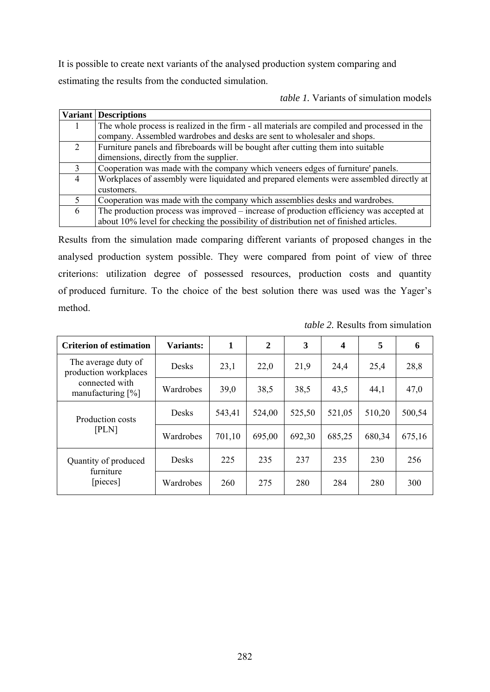It is possible to create next variants of the analysed production system comparing and estimating the results from the conducted simulation.

*table 1.* Variants of simulation models

|   | <b>Variant Descriptions</b>                                                                 |
|---|---------------------------------------------------------------------------------------------|
|   | The whole process is realized in the firm - all materials are compiled and processed in the |
|   | company. Assembled wardrobes and desks are sent to wholesaler and shops.                    |
| 2 | Furniture panels and fibreboards will be bought after cutting them into suitable            |
|   | dimensions, directly from the supplier.                                                     |
| 3 | Cooperation was made with the company which veneers edges of furniture' panels.             |
| 4 | Workplaces of assembly were liquidated and prepared elements were assembled directly at     |
|   | customers.                                                                                  |
|   | Cooperation was made with the company which assemblies desks and wardrobes.                 |
| 6 | The production process was improved – increase of production efficiency was accepted at     |
|   | about 10% level for checking the possibility of distribution net of finished articles.      |

Results from the simulation made comparing different variants of proposed changes in the analysed production system possible. They were compared from point of view of three criterions: utilization degree of possessed resources, production costs and quantity of produced furniture. To the choice of the best solution there was used was the Yager's method.

| <b>Criterion of estimation</b>               | Variants:    |        | $\overline{2}$ | 3      | 4      | 5      | 6      |
|----------------------------------------------|--------------|--------|----------------|--------|--------|--------|--------|
| The average duty of<br>production workplaces | <b>Desks</b> | 23,1   | 22,0           | 21,9   | 24,4   | 25,4   | 28,8   |
| connected with<br>manufacturing $[\%]$       | Wardrobes    | 39,0   | 38,5           | 38,5   | 43,5   | 44,1   | 47,0   |
| Production costs                             | <b>Desks</b> | 543,41 | 524,00         | 525,50 | 521,05 | 510,20 | 500,54 |
| [PLN]                                        | Wardrobes    | 701,10 | 695,00         | 692,30 | 685,25 | 680,34 | 675,16 |
| Quantity of produced<br>furniture            | <b>Desks</b> | 225    | 235            | 237    | 235    | 230    | 256    |
| [pieces]                                     | Wardrobes    | 260    | 275            | 280    | 284    | 280    | 300    |

*table 2.* Results from simulation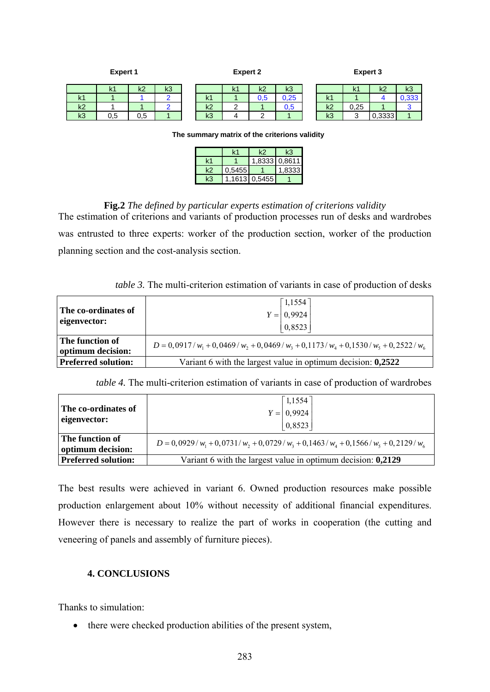| <b>Expert 1</b> |                |                | <b>Expert 2</b> |  |                     |        | <b>Expert 3</b> |      |    |          |        |       |
|-----------------|----------------|----------------|-----------------|--|---------------------|--------|-----------------|------|----|----------|--------|-------|
|                 | k <sub>1</sub> | k <sub>2</sub> | k3              |  |                     | k1     | k2              | k3   |    | ı,<br>N. | k2     | k3    |
| k <sub>1</sub>  |                |                |                 |  | $\mathbf{z}$<br>N.I |        | U.5             | 0,25 | k1 |          |        | 0,333 |
| k <sub>2</sub>  |                |                |                 |  | k <sub>2</sub>      | ົ<br>∼ |                 | 0,5  | k2 | 0,25     |        | ັ     |
| k <sub>3</sub>  | 0.5            | 0.5            |                 |  | k3                  |        |                 |      | k3 |          | 0.3333 |       |

**The summary matrix of the criterions validity**

|       |             | 1,8333 0,8611 |
|-------|-------------|---------------|
| .5455 |             | 1 8333        |
|       | 1613 0.5455 |               |

### **Fig.2** *The defined by particular experts estimation of criterions validity*

The estimation of criterions and variants of production processes run of desks and wardrobes was entrusted to three experts: worker of the production section, worker of the production planning section and the cost-analysis section.

*table 3.* The multi-criterion estimation of variants in case of production of desks

| The co-ordinates of<br>eigenvector:  | $\lceil 1,1554 \rceil$<br>$Y = 0,9924$<br> 0,8523                                 |
|--------------------------------------|-----------------------------------------------------------------------------------|
| The function of<br>optimum decision: | $D = 0.0917/w_1 + 0.0469/w_2 + 0.0469/w_3 + 0.1173/w_4 + 0.1530/w_5 + 0.2522/w_6$ |
| <b>Preferred solution:</b>           | Variant 6 with the largest value in optimum decision: 0,2522                      |

*table 4.* The multi-criterion estimation of variants in case of production of wardrobes

| The co-ordinates of<br>eigenvector:  | $\lceil 1,1554 \rceil$<br>$Y = \begin{bmatrix} 0,9924 \\ 0,8523 \end{bmatrix}$    |  |  |  |  |
|--------------------------------------|-----------------------------------------------------------------------------------|--|--|--|--|
| The function of<br>optimum decision: | $D = 0.0929/w_1 + 0.0731/w_2 + 0.0729/w_3 + 0.1463/w_4 + 0.1566/w_5 + 0.2129/w_6$ |  |  |  |  |
| <b>Preferred solution:</b>           | Variant 6 with the largest value in optimum decision: 0,2129                      |  |  |  |  |

The best results were achieved in variant 6. Owned production resources make possible production enlargement about 10% without necessity of additional financial expenditures. However there is necessary to realize the part of works in cooperation (the cutting and veneering of panels and assembly of furniture pieces).

### **4. CONCLUSIONS**

Thanks to simulation:

• there were checked production abilities of the present system,